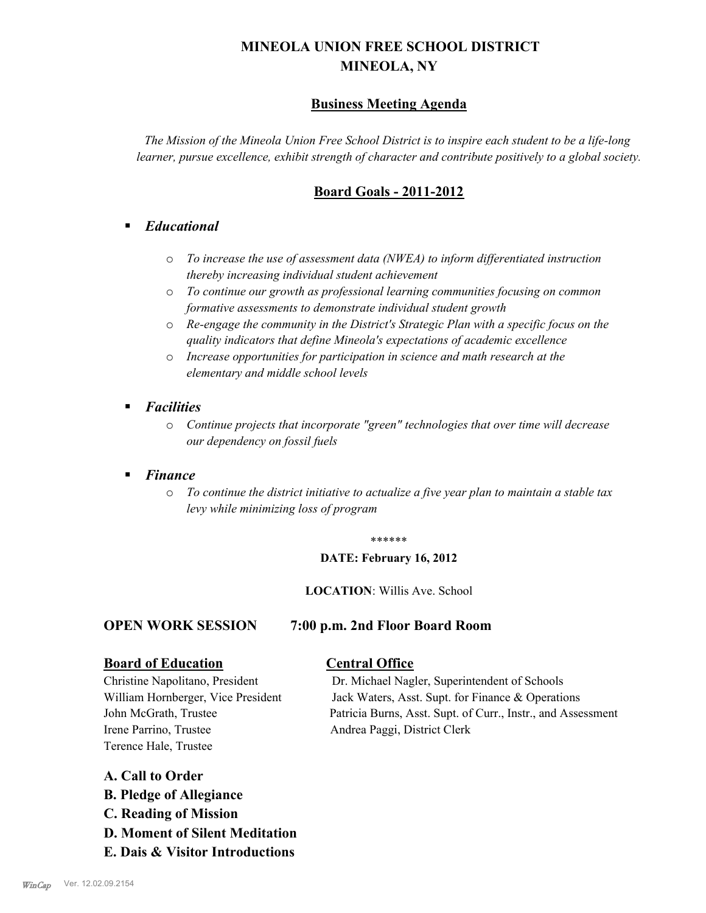# **MINEOLA UNION FREE SCHOOL DISTRICT MINEOLA, NY**

# **Business Meeting Agenda**

*The Mission of the Mineola Union Free School District is to inspire each student to be a life-long learner, pursue excellence, exhibit strength of character and contribute positively to a global society.*

# **Board Goals - 2011-2012**

# § *Educational*

- o *To increase the use of assessment data (NWEA) to inform differentiated instruction thereby increasing individual student achievement*
- o *To continue our growth as professional learning communities focusing on common formative assessments to demonstrate individual student growth*
- o *Re-engage the community in the District's Strategic Plan with a specific focus on the quality indicators that define Mineola's expectations of academic excellence*
- o *Increase opportunities for participation in science and math research at the elementary and middle school levels*
- *Facilities* 
	- o *Continue projects that incorporate "green" technologies that over time will decrease our dependency on fossil fuels*

## § *Finance*

o *To continue the district initiative to actualize a five year plan to maintain a stable tax levy while minimizing loss of program*

#### \*\*\*\*\*\*

#### **DATE: February 16, 2012**

**LOCATION**: Willis Ave. School

## **OPEN WORK SESSION 7:00 p.m. 2nd Floor Board Room**

## **Board of Education Central Office**

Christine Napolitano, President Dr. Michael Nagler, Superintendent of Schools

Irene Parrino, Trustee Andrea Paggi, District Clerk Terence Hale, Trustee

William Hornberger, Vice President Jack Waters, Asst. Supt. for Finance & Operations John McGrath, Trustee Patricia Burns, Asst. Supt. of Curr., Instr., and Assessment

# **A. Call to Order**

- **B. Pledge of Allegiance**
- **C. Reading of Mission**
- **D. Moment of Silent Meditation**
- **E. Dais & Visitor Introductions**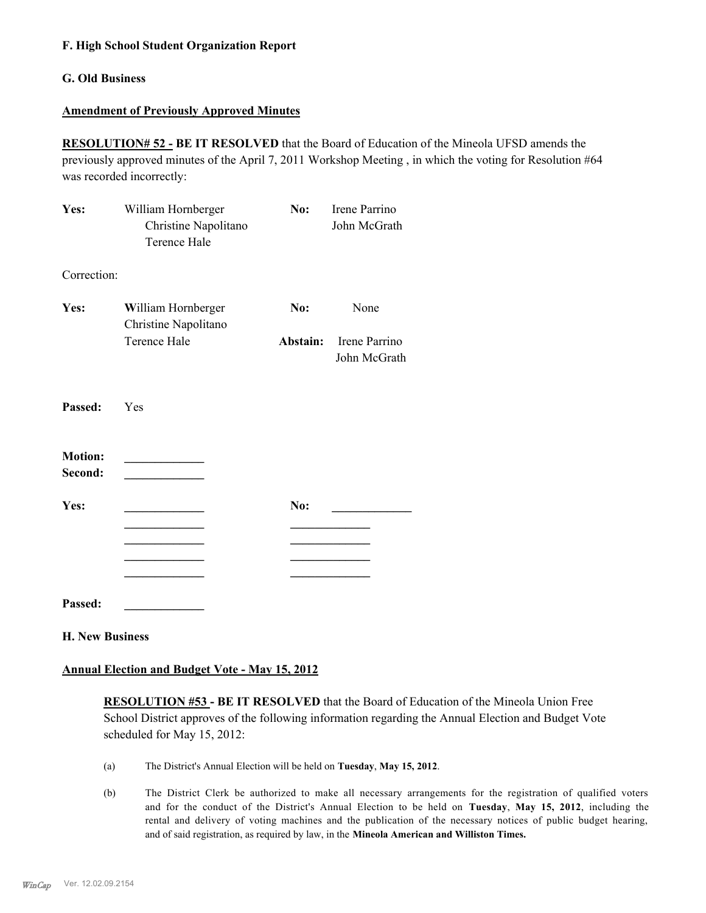#### **F. High School Student Organization Report**

#### **G. Old Business**

#### **Amendment of Previously Approved Minutes**

**RESOLUTION# 52 - BE IT RESOLVED** that the Board of Education of the Mineola UFSD amends the previously approved minutes of the April 7, 2011 Workshop Meeting , in which the voting for Resolution #64 was recorded incorrectly:

| Yes:                      | William Hornberger<br>Christine Napolitano<br>Terence Hale | No:      | Irene Parrino<br>John McGrath |
|---------------------------|------------------------------------------------------------|----------|-------------------------------|
| Correction:               |                                                            |          |                               |
| Yes:                      | William Hornberger<br>Christine Napolitano                 |          | None                          |
|                           | Terence Hale                                               | Abstain: | Irene Parrino<br>John McGrath |
| Passed:                   | Yes                                                        |          |                               |
| <b>Motion:</b><br>Second: |                                                            |          |                               |
| Yes:                      |                                                            | No:      |                               |
|                           |                                                            |          |                               |
|                           |                                                            |          |                               |
| Passed:                   |                                                            |          |                               |

**H. New Business**

#### **Annual Election and Budget Vote - May 15, 2012**

**RESOLUTION #53 - BE IT RESOLVED** that the Board of Education of the Mineola Union Free School District approves of the following information regarding the Annual Election and Budget Vote scheduled for May 15, 2012:

- (a) The District's Annual Election will be held on **Tuesday**, **May 15, 2012**.
- (b) The District Clerk be authorized to make all necessary arrangements for the registration of qualified voters and for the conduct of the District's Annual Election to be held on **Tuesday**, **May 15, 2012**, including the rental and delivery of voting machines and the publication of the necessary notices of public budget hearing, and of said registration, as required by law, in the **Mineola American and Williston Times.**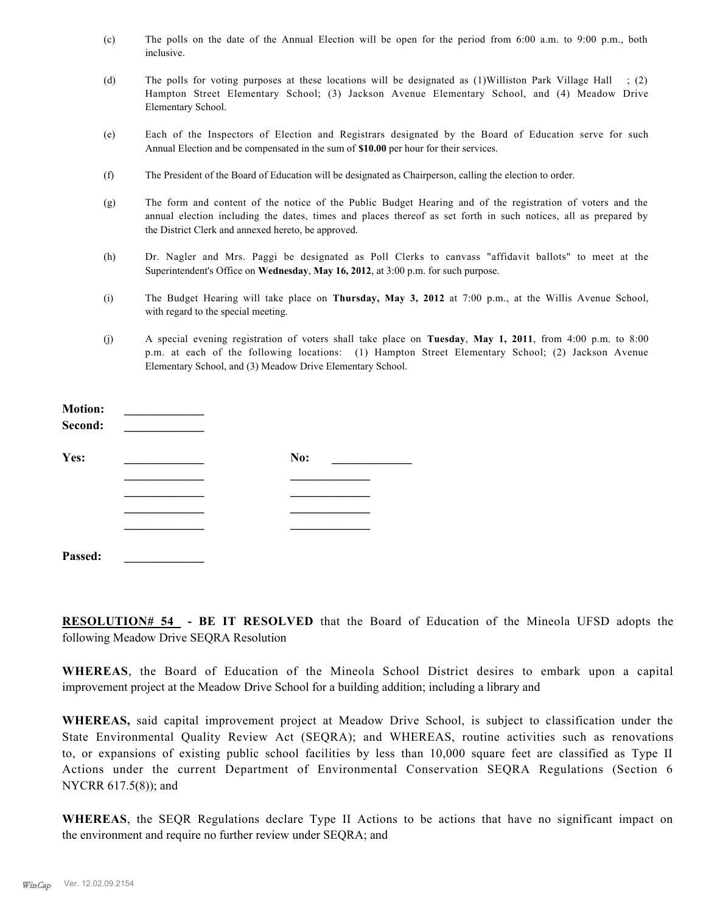- (c) The polls on the date of the Annual Election will be open for the period from 6:00 a.m. to 9:00 p.m., both inclusive.
- (d) The polls for voting purposes at these locations will be designated as (1)Williston Park Village Hall ; (2) Hampton Street Elementary School; (3) Jackson Avenue Elementary School, and (4) Meadow Drive Elementary School.
- (e) Each of the Inspectors of Election and Registrars designated by the Board of Education serve for such Annual Election and be compensated in the sum of **\$10.00** per hour for their services.
- (f) The President of the Board of Education will be designated as Chairperson, calling the election to order.
- (g) The form and content of the notice of the Public Budget Hearing and of the registration of voters and the annual election including the dates, times and places thereof as set forth in such notices, all as prepared by the District Clerk and annexed hereto, be approved.
- (h) Dr. Nagler and Mrs. Paggi be designated as Poll Clerks to canvass "affidavit ballots" to meet at the Superintendent's Office on **Wednesday**, **May 16, 2012**, at 3:00 p.m. for such purpose.
- (i) The Budget Hearing will take place on **Thursday, May 3, 2012** at 7:00 p.m., at the Willis Avenue School, with regard to the special meeting.
- (j) A special evening registration of voters shall take place on **Tuesday**, **May 1, 2011**, from 4:00 p.m. to 8:00 p.m. at each of the following locations: (1) Hampton Street Elementary School; (2) Jackson Avenue Elementary School, and (3) Meadow Drive Elementary School.

| <b>Motion:</b><br>Second: |     |
|---------------------------|-----|
| Yes:                      | No: |
|                           |     |
|                           |     |
|                           |     |
|                           |     |
| Passed:                   |     |

**RESOLUTION# 54 - BE IT RESOLVED** that the Board of Education of the Mineola UFSD adopts the following Meadow Drive SEQRA Resolution

**WHEREAS**, the Board of Education of the Mineola School District desires to embark upon a capital improvement project at the Meadow Drive School for a building addition; including a library and

**WHEREAS,** said capital improvement project at Meadow Drive School, is subject to classification under the State Environmental Quality Review Act (SEQRA); and WHEREAS, routine activities such as renovations to, or expansions of existing public school facilities by less than 10,000 square feet are classified as Type II Actions under the current Department of Environmental Conservation SEQRA Regulations (Section 6 NYCRR 617.5(8)); and

**WHEREAS**, the SEQR Regulations declare Type II Actions to be actions that have no significant impact on the environment and require no further review under SEQRA; and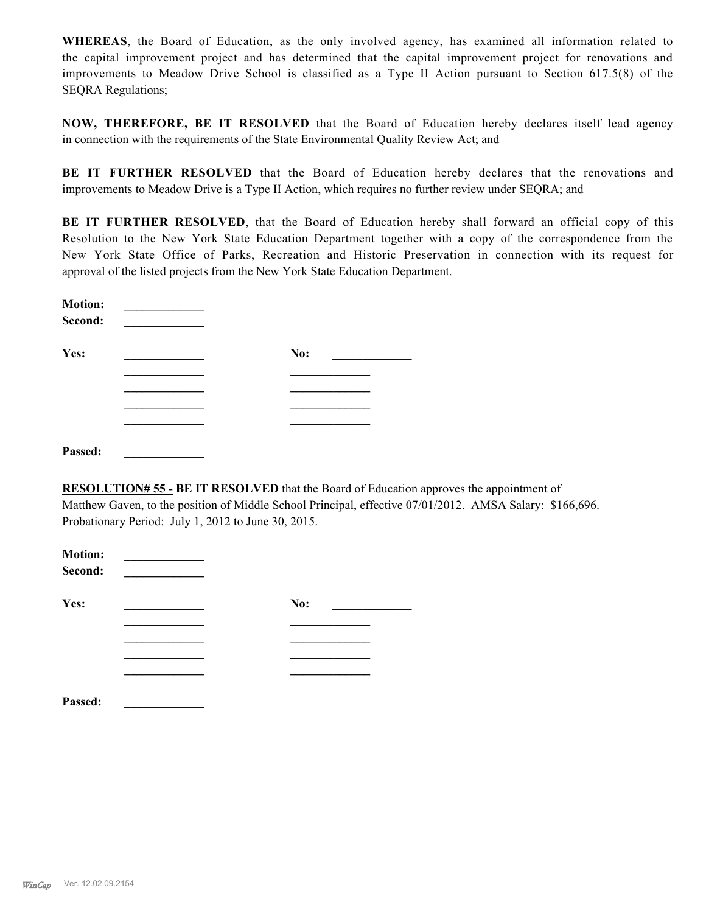**WHEREAS**, the Board of Education, as the only involved agency, has examined all information related to the capital improvement project and has determined that the capital improvement project for renovations and improvements to Meadow Drive School is classified as a Type II Action pursuant to Section 617.5(8) of the SEQRA Regulations;

**NOW, THEREFORE, BE IT RESOLVED** that the Board of Education hereby declares itself lead agency in connection with the requirements of the State Environmental Quality Review Act; and

**BE IT FURTHER RESOLVED** that the Board of Education hereby declares that the renovations and improvements to Meadow Drive is a Type II Action, which requires no further review under SEQRA; and

**BE IT FURTHER RESOLVED**, that the Board of Education hereby shall forward an official copy of this Resolution to the New York State Education Department together with a copy of the correspondence from the New York State Office of Parks, Recreation and Historic Preservation in connection with its request for approval of the listed projects from the New York State Education Department.

| <b>Motion:</b><br>Second: |     |
|---------------------------|-----|
| Yes:                      | No: |
|                           |     |
|                           |     |
| Passed:                   |     |

**RESOLUTION# 55 - BE IT RESOLVED** that the Board of Education approves the appointment of Matthew Gaven, to the position of Middle School Principal, effective 07/01/2012. AMSA Salary: \$166,696. Probationary Period: July 1, 2012 to June 30, 2015.

| <b>Motion:</b><br>Second: |     |
|---------------------------|-----|
| Yes:                      | No: |
|                           |     |
|                           |     |
|                           |     |
|                           |     |
| Passed:                   |     |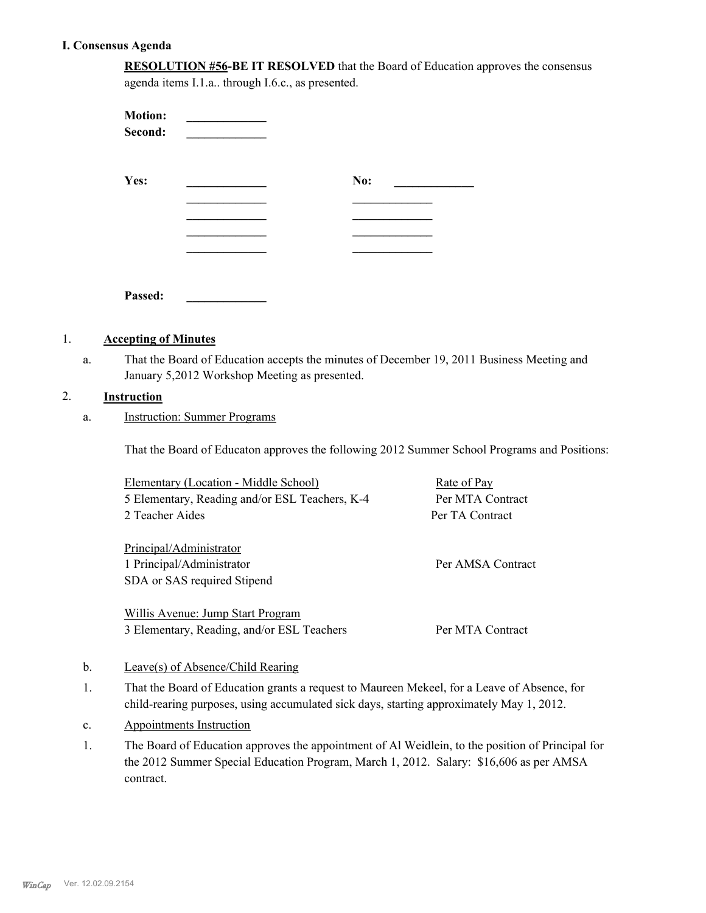## **I. Consensus Agenda**

**RESOLUTION #56-BE IT RESOLVED** that the Board of Education approves the consensus agenda items I.1.a.. through I.6.c., as presented.

| <b>Motion:</b><br>Second: |     |
|---------------------------|-----|
| Yes:                      | No: |
|                           |     |
|                           |     |
|                           |     |
|                           |     |
| Passed:                   |     |

## 1. **Accepting of Minutes**

That the Board of Education accepts the minutes of December 19, 2011 Business Meeting and January 5,2012 Workshop Meeting as presented. a.

## 2. **Instruction**

Instruction: Summer Programs a.

That the Board of Educaton approves the following 2012 Summer School Programs and Positions:

| Elementary (Location - Middle School)          | Rate of Pay       |
|------------------------------------------------|-------------------|
| 5 Elementary, Reading and/or ESL Teachers, K-4 | Per MTA Contract  |
| 2 Teacher Aides                                | Per TA Contract   |
| Principal/Administrator                        |                   |
| 1 Principal/Administrator                      | Per AMSA Contract |
| SDA or SAS required Stipend                    |                   |
| Willis Avenue: Jump Start Program              |                   |

- b. Leave(s) of Absence/Child Rearing
- That the Board of Education grants a request to Maureen Mekeel, for a Leave of Absence, for child-rearing purposes, using accumulated sick days, starting approximately May 1, 2012. 1.

3 Elementary, Reading, and/or ESL Teachers Per MTA Contract

- c. Appointments Instruction
- The Board of Education approves the appointment of Al Weidlein, to the position of Principal for the 2012 Summer Special Education Program, March 1, 2012. Salary: \$16,606 as per AMSA contract. 1.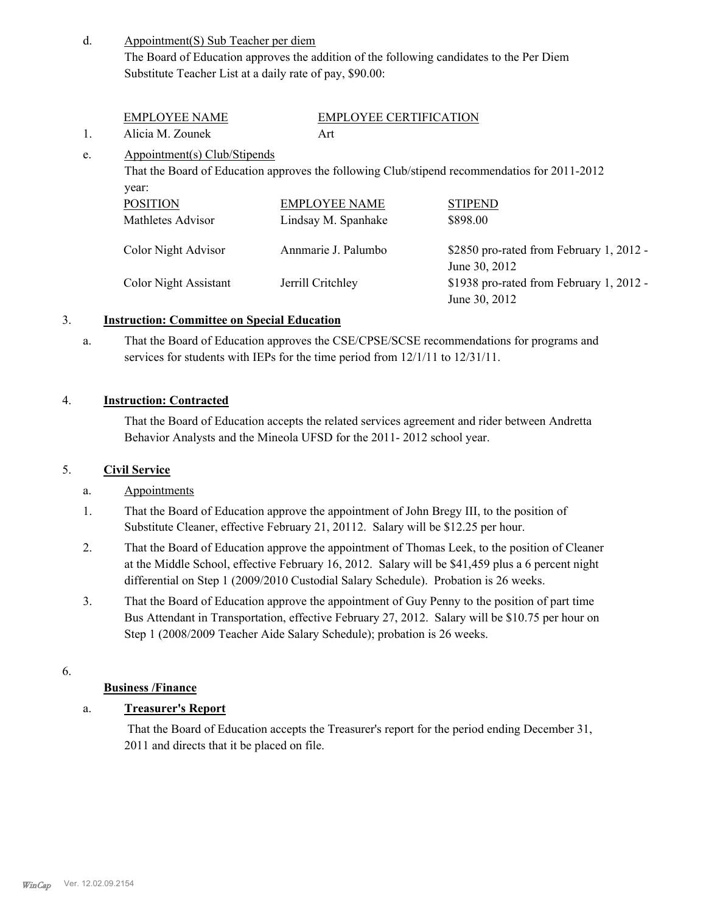Appointment(S) Sub Teacher per diem The Board of Education approves the addition of the following candidates to the Per Diem Substitute Teacher List at a daily rate of pay, \$90.00: d.

| <b>EMPLOYEE NAME</b> | <b>EMPLOYEE CERTIFICATION</b> |
|----------------------|-------------------------------|
| Alicia M. Zounek     | Art                           |

Appointment(s) Club/Stipends e.

> That the Board of Education approves the following Club/stipend recommendatios for 2011-2012 year: POSITION EMPLOYEE NAME STIPEND Mathletes Advisor Lindsay M. Spanhake \$898.00 Color Night Advisor Annmarie J. Palumbo \$2850 pro-rated from February 1, 2012 - June 30, 2012 Color Night Assistant Jerrill Critchley \$1938 pro-rated from February 1, 2012 -

> > June 30, 2012

## 3. **Instruction: Committee on Special Education**

That the Board of Education approves the CSE/CPSE/SCSE recommendations for programs and services for students with IEPs for the time period from 12/1/11 to 12/31/11. a.

## 4. **Instruction: Contracted**

That the Board of Education accepts the related services agreement and rider between Andretta Behavior Analysts and the Mineola UFSD for the 2011- 2012 school year.

# 5. **Civil Service**

# a. Appointments

- That the Board of Education approve the appointment of John Bregy III, to the position of Substitute Cleaner, effective February 21, 20112. Salary will be \$12.25 per hour. 1.
- That the Board of Education approve the appointment of Thomas Leek, to the position of Cleaner at the Middle School, effective February 16, 2012. Salary will be \$41,459 plus a 6 percent night differential on Step 1 (2009/2010 Custodial Salary Schedule). Probation is 26 weeks. 2.
- That the Board of Education approve the appointment of Guy Penny to the position of part time Bus Attendant in Transportation, effective February 27, 2012. Salary will be \$10.75 per hour on Step 1 (2008/2009 Teacher Aide Salary Schedule); probation is 26 weeks. 3.
- 6.

## **Business /Finance**

# a. **Treasurer's Report**

 That the Board of Education accepts the Treasurer's report for the period ending December 31, 2011 and directs that it be placed on file.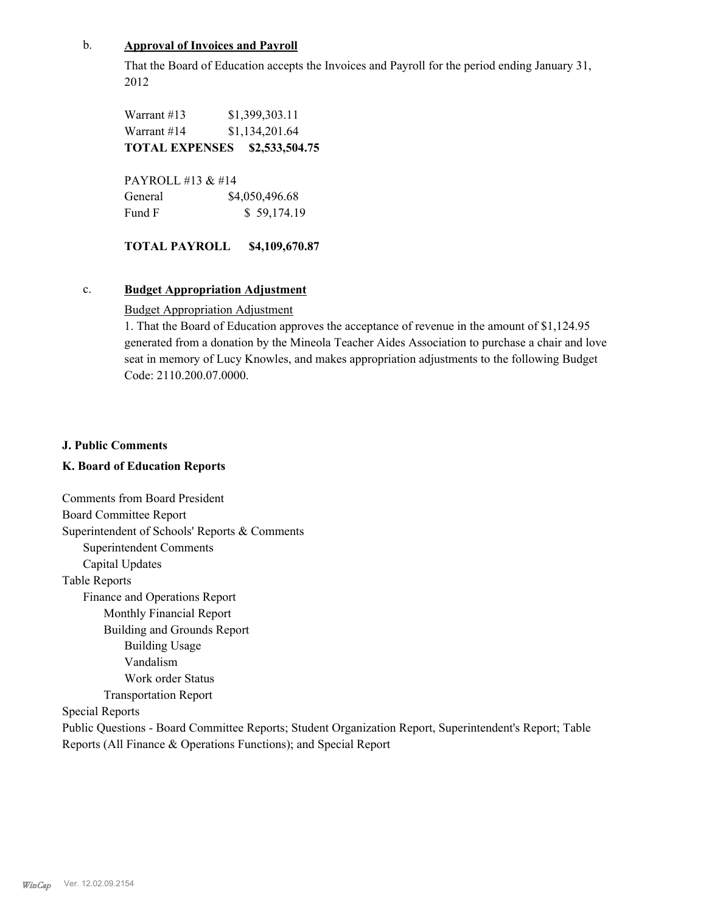## b. **Approval of Invoices and Payroll**

That the Board of Education accepts the Invoices and Payroll for the period ending January 31, 2012

Warrant #13 \$1,399,303.11 Warrant #14 \$1,134,201.64 **TOTAL EXPENSES \$2,533,504.75**

PAYROLL #13 & #14 General  $$4,050,496.68$ Fund F  $$ 59,174.19$ 

**TOTAL PAYROLL \$4,109,670.87**

#### c. **Budget Appropriation Adjustment**

#### Budget Appropriation Adjustment

1. That the Board of Education approves the acceptance of revenue in the amount of \$1,124.95 generated from a donation by the Mineola Teacher Aides Association to purchase a chair and love seat in memory of Lucy Knowles, and makes appropriation adjustments to the following Budget Code: 2110.200.07.0000.

#### **J. Public Comments**

#### **K. Board of Education Reports**

Comments from Board President Board Committee Report Superintendent of Schools' Reports & Comments Superintendent Comments Capital Updates Table Reports Finance and Operations Report Monthly Financial Report Building and Grounds Report Building Usage Vandalism Work order Status Transportation Report

Special Reports

Public Questions - Board Committee Reports; Student Organization Report, Superintendent's Report; Table Reports (All Finance & Operations Functions); and Special Report